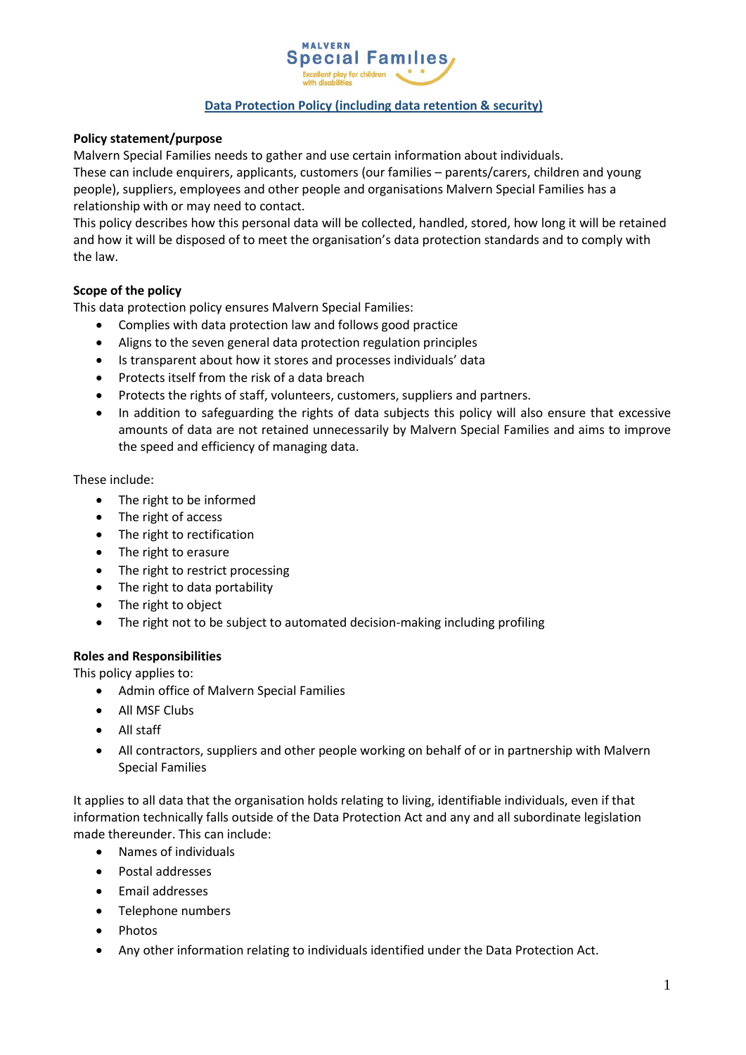

## **Data Protection Policy (including data retention & security)**

## **Policy statement/purpose**

Malvern Special Families needs to gather and use certain information about individuals.

These can include enquirers, applicants, customers (our families – parents/carers, children and young people), suppliers, employees and other people and organisations Malvern Special Families has a relationship with or may need to contact.

This policy describes how this personal data will be collected, handled, stored, how long it will be retained and how it will be disposed of to meet the organisation's data protection standards and to comply with the law.

## **Scope of the policy**

This data protection policy ensures Malvern Special Families:

- Complies with data protection law and follows good practice
- Aligns to the seven general data protection regulation principles
- Is transparent about how it stores and processes individuals' data
- Protects itself from the risk of a data breach
- Protects the rights of staff, volunteers, customers, suppliers and partners.
- In addition to safeguarding the rights of data subjects this policy will also ensure that excessive amounts of data are not retained unnecessarily by Malvern Special Families and aims to improve the speed and efficiency of managing data.

#### These include:

- The right to be informed
- The right of access
- The right to rectification
- The right to erasure
- The right to restrict processing
- The right to data portability
- The right to object
- The right not to be subject to automated decision-making including profiling

#### **Roles and Responsibilities**

This policy applies to:

- Admin office of Malvern Special Families
- All MSF Clubs
- All staff
- All contractors, suppliers and other people working on behalf of or in partnership with Malvern Special Families

It applies to all data that the organisation holds relating to living, identifiable individuals, even if that information technically falls outside of the Data Protection Act and any and all subordinate legislation made thereunder. This can include:

- Names of individuals
- Postal addresses
- Fmail addresses
- Telephone numbers
- Photos
- Any other information relating to individuals identified under the Data Protection Act.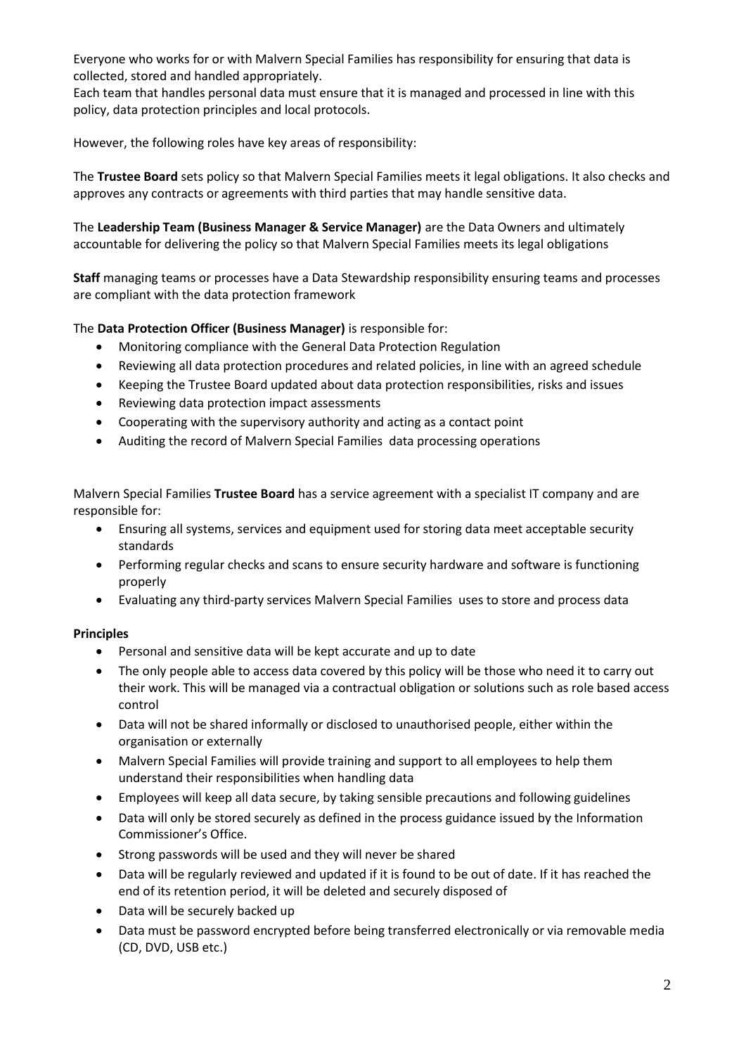Everyone who works for or with Malvern Special Families has responsibility for ensuring that data is collected, stored and handled appropriately.

Each team that handles personal data must ensure that it is managed and processed in line with this policy, data protection principles and local protocols.

However, the following roles have key areas of responsibility:

The **Trustee Board** sets policy so that Malvern Special Families meets it legal obligations. It also checks and approves any contracts or agreements with third parties that may handle sensitive data.

The **Leadership Team (Business Manager & Service Manager)** are the Data Owners and ultimately accountable for delivering the policy so that Malvern Special Families meets its legal obligations

**Staff** managing teams or processes have a Data Stewardship responsibility ensuring teams and processes are compliant with the data protection framework

## The **Data Protection Officer (Business Manager)** is responsible for:

- Monitoring compliance with the General Data Protection Regulation
- Reviewing all data protection procedures and related policies, in line with an agreed schedule
- Keeping the Trustee Board updated about data protection responsibilities, risks and issues
- Reviewing data protection impact assessments
- Cooperating with the supervisory authority and acting as a contact point
- Auditing the record of Malvern Special Families data processing operations

Malvern Special Families **Trustee Board** has a service agreement with a specialist IT company and are responsible for:

- Ensuring all systems, services and equipment used for storing data meet acceptable security standards
- Performing regular checks and scans to ensure security hardware and software is functioning properly
- Evaluating any third-party services Malvern Special Families uses to store and process data

#### **Principles**

- Personal and sensitive data will be kept accurate and up to date
- The only people able to access data covered by this policy will be those who need it to carry out their work. This will be managed via a contractual obligation or solutions such as role based access control
- Data will not be shared informally or disclosed to unauthorised people, either within the organisation or externally
- Malvern Special Families will provide training and support to all employees to help them understand their responsibilities when handling data
- Employees will keep all data secure, by taking sensible precautions and following guidelines
- Data will only be stored securely as defined in the process guidance issued by the Information Commissioner's Office.
- Strong passwords will be used and they will never be shared
- Data will be regularly reviewed and updated if it is found to be out of date. If it has reached the end of its retention period, it will be deleted and securely disposed of
- Data will be securely backed up
- Data must be password encrypted before being transferred electronically or via removable media (CD, DVD, USB etc.)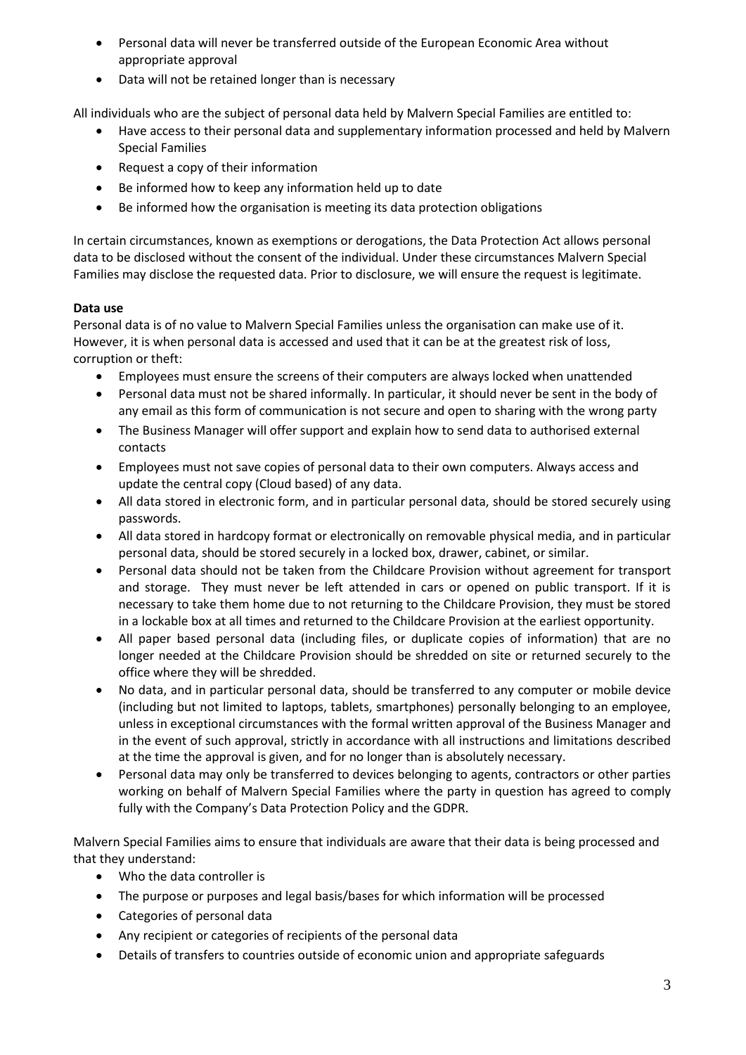- Personal data will never be transferred outside of the European Economic Area without appropriate approval
- Data will not be retained longer than is necessary

All individuals who are the subject of personal data held by Malvern Special Families are entitled to:

- Have access to their personal data and supplementary information processed and held by Malvern Special Families
- Request a copy of their information
- Be informed how to keep any information held up to date
- Be informed how the organisation is meeting its data protection obligations

In certain circumstances, known as exemptions or derogations, the Data Protection Act allows personal data to be disclosed without the consent of the individual. Under these circumstances Malvern Special Families may disclose the requested data. Prior to disclosure, we will ensure the request is legitimate.

## **Data use**

Personal data is of no value to Malvern Special Families unless the organisation can make use of it. However, it is when personal data is accessed and used that it can be at the greatest risk of loss, corruption or theft:

- Employees must ensure the screens of their computers are always locked when unattended
- Personal data must not be shared informally. In particular, it should never be sent in the body of any email as this form of communication is not secure and open to sharing with the wrong party
- The Business Manager will offer support and explain how to send data to authorised external contacts
- Employees must not save copies of personal data to their own computers. Always access and update the central copy (Cloud based) of any data.
- All data stored in electronic form, and in particular personal data, should be stored securely using passwords.
- All data stored in hardcopy format or electronically on removable physical media, and in particular personal data, should be stored securely in a locked box, drawer, cabinet, or similar.
- Personal data should not be taken from the Childcare Provision without agreement for transport and storage. They must never be left attended in cars or opened on public transport. If it is necessary to take them home due to not returning to the Childcare Provision, they must be stored in a lockable box at all times and returned to the Childcare Provision at the earliest opportunity.
- All paper based personal data (including files, or duplicate copies of information) that are no longer needed at the Childcare Provision should be shredded on site or returned securely to the office where they will be shredded.
- No data, and in particular personal data, should be transferred to any computer or mobile device (including but not limited to laptops, tablets, smartphones) personally belonging to an employee, unless in exceptional circumstances with the formal written approval of the Business Manager and in the event of such approval, strictly in accordance with all instructions and limitations described at the time the approval is given, and for no longer than is absolutely necessary.
- Personal data may only be transferred to devices belonging to agents, contractors or other parties working on behalf of Malvern Special Families where the party in question has agreed to comply fully with the Company's Data Protection Policy and the GDPR.

Malvern Special Families aims to ensure that individuals are aware that their data is being processed and that they understand:

- Who the data controller is
- The purpose or purposes and legal basis/bases for which information will be processed
- Categories of personal data
- Any recipient or categories of recipients of the personal data
- Details of transfers to countries outside of economic union and appropriate safeguards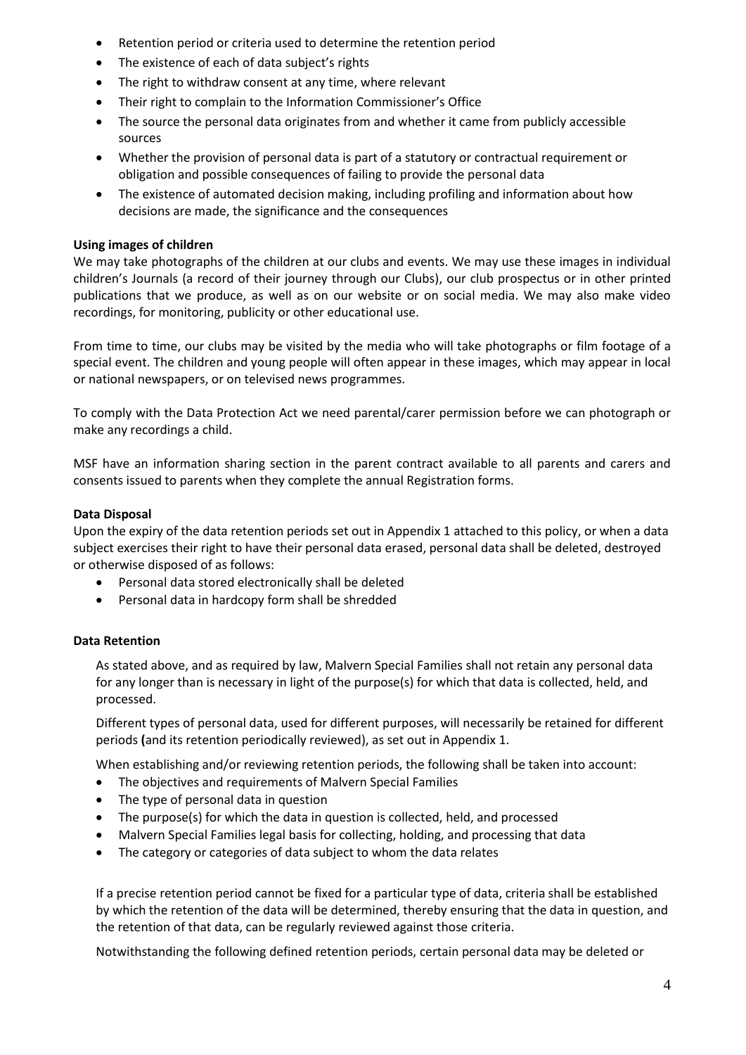- Retention period or criteria used to determine the retention period
- The existence of each of data subject's rights
- The right to withdraw consent at any time, where relevant
- Their right to complain to the Information Commissioner's Office
- The source the personal data originates from and whether it came from publicly accessible sources
- Whether the provision of personal data is part of a statutory or contractual requirement or obligation and possible consequences of failing to provide the personal data
- The existence of automated decision making, including profiling and information about how decisions are made, the significance and the consequences

## **Using images of children**

We may take photographs of the children at our clubs and events. We may use these images in individual children's Journals (a record of their journey through our Clubs), our club prospectus or in other printed publications that we produce, as well as on our website or on social media. We may also make video recordings, for monitoring, publicity or other educational use.

From time to time, our clubs may be visited by the media who will take photographs or film footage of a special event. The children and young people will often appear in these images, which may appear in local or national newspapers, or on televised news programmes.

To comply with the Data Protection Act we need parental/carer permission before we can photograph or make any recordings a child.

MSF have an information sharing section in the parent contract available to all parents and carers and consents issued to parents when they complete the annual Registration forms.

## **Data Disposal**

Upon the expiry of the data retention periods set out in Appendix 1 attached to this policy, or when a data subject exercises their right to have their personal data erased, personal data shall be deleted, destroyed or otherwise disposed of as follows:

- Personal data stored electronically shall be deleted
- Personal data in hardcopy form shall be shredded

#### **Data Retention**

As stated above, and as required by law, Malvern Special Families shall not retain any personal data for any longer than is necessary in light of the purpose(s) for which that data is collected, held, and processed.

Different types of personal data, used for different purposes, will necessarily be retained for different periods **(**and its retention periodically reviewed), as set out in Appendix 1.

When establishing and/or reviewing retention periods, the following shall be taken into account:

- The objectives and requirements of Malvern Special Families
- The type of personal data in question
- The purpose(s) for which the data in question is collected, held, and processed
- Malvern Special Families legal basis for collecting, holding, and processing that data
- The category or categories of data subject to whom the data relates

If a precise retention period cannot be fixed for a particular type of data, criteria shall be established by which the retention of the data will be determined, thereby ensuring that the data in question, and the retention of that data, can be regularly reviewed against those criteria.

Notwithstanding the following defined retention periods, certain personal data may be deleted or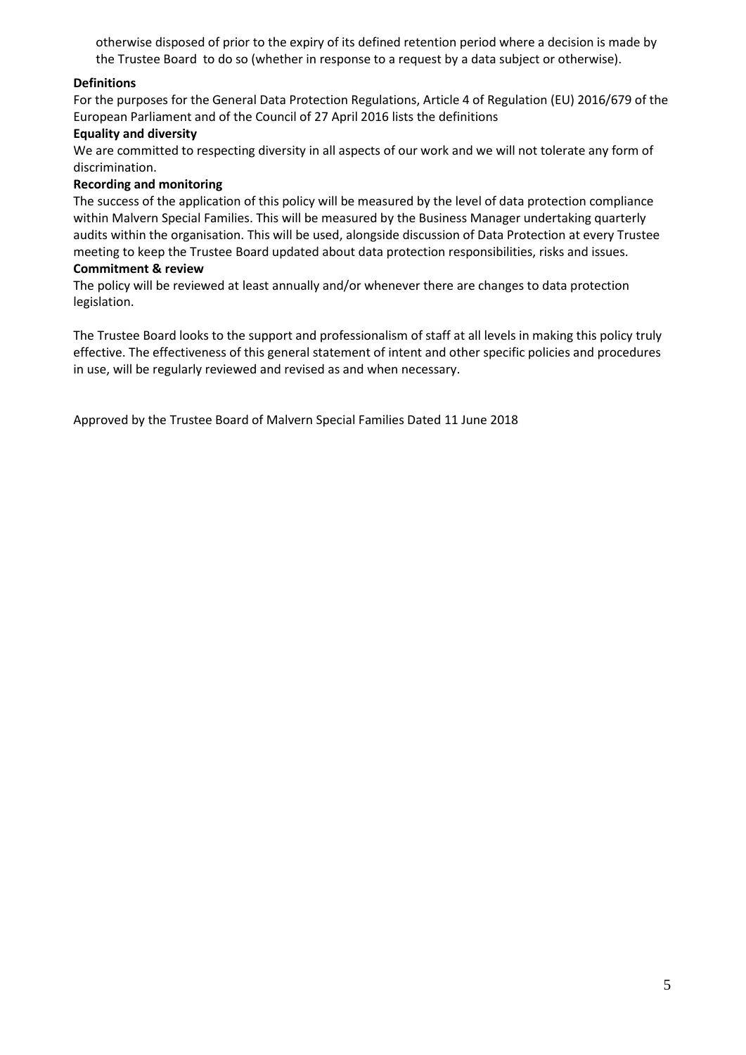otherwise disposed of prior to the expiry of its defined retention period where a decision is made by the Trustee Board to do so (whether in response to a request by a data subject or otherwise).

## **Definitions**

For the purposes for the General Data Protection Regulations, Article 4 of Regulation (EU) 2016/679 of the European Parliament and of the Council of 27 April 2016 lists the definitions

#### **Equality and diversity**

We are committed to respecting diversity in all aspects of our work and we will not tolerate any form of discrimination.

#### **Recording and monitoring**

The success of the application of this policy will be measured by the level of data protection compliance within Malvern Special Families. This will be measured by the Business Manager undertaking quarterly audits within the organisation. This will be used, alongside discussion of Data Protection at every Trustee meeting to keep the Trustee Board updated about data protection responsibilities, risks and issues.

#### **Commitment & review**

The policy will be reviewed at least annually and/or whenever there are changes to data protection legislation.

The Trustee Board looks to the support and professionalism of staff at all levels in making this policy truly effective. The effectiveness of this general statement of intent and other specific policies and procedures in use, will be regularly reviewed and revised as and when necessary.

Approved by the Trustee Board of Malvern Special Families Dated 11 June 2018